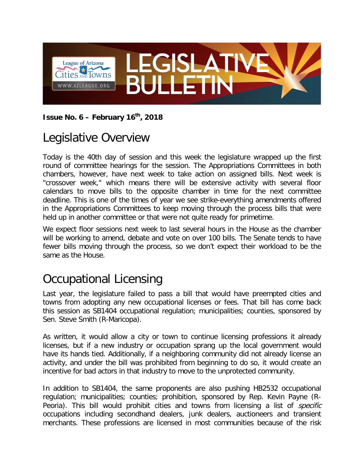

#### **Issue No. 6 – February 16th, 2018**

## Legislative Overview

Today is the 40th day of session and this week the legislature wrapped up the first round of committee hearings for the session. The Appropriations Committees in both chambers, however, have next week to take action on assigned bills. Next week is "crossover week," which means there will be extensive activity with several floor calendars to move bills to the opposite chamber in time for the next committee deadline. This is one of the times of year we see strike-everything amendments offered in the Appropriations Committees to keep moving through the process bills that were held up in another committee or that were not quite ready for primetime.

We expect floor sessions next week to last several hours in the House as the chamber will be working to amend, debate and vote on over 100 bills. The Senate tends to have fewer bills moving through the process, so we don't expect their workload to be the same as the House.

# Occupational Licensing

Last year, the legislature failed to pass a bill that would have preempted cities and towns from adopting any new occupational licenses or fees. That bill has come back this session as SB1404 occupational regulation; municipalities; counties, sponsored by Sen. Steve Smith (R-Maricopa).

As written, it would allow a city or town to continue licensing professions it already licenses, but if a new industry or occupation sprang up the local government would have its hands tied. Additionally, if a neighboring community did not already license an activity, and under the bill was prohibited from beginning to do so, it would create an incentive for bad actors in that industry to move to the unprotected community.

In addition to SB1404, the same proponents are also pushing HB2532 occupational regulation; municipalities; counties; prohibition, sponsored by Rep. Kevin Payne (R-Peoria). This bill would prohibit cities and towns from licensing a list of *specific* occupations including secondhand dealers, junk dealers, auctioneers and transient merchants. These professions are licensed in most communities because of the risk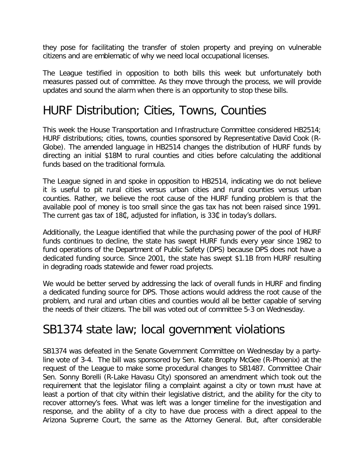they pose for facilitating the transfer of stolen property and preying on vulnerable citizens and are emblematic of why we need local occupational licenses.

The League testified in opposition to both bills this week but unfortunately both measures passed out of committee. As they move through the process, we will provide updates and sound the alarm when there is an opportunity to stop these bills.

## HURF Distribution; Cities, Towns, Counties

This week the House Transportation and Infrastructure Committee considered HB2514; HURF distributions; cities, towns, counties sponsored by Representative David Cook (R-Globe). The amended language in HB2514 changes the distribution of HURF funds by directing an initial \$18M to rural counties and cities before calculating the additional funds based on the traditional formula.

The League signed in and spoke in opposition to HB2514, indicating we do not believe it is useful to pit rural cities versus urban cities and rural counties versus urban counties. Rather, we believe the root cause of the HURF funding problem is that the available pool of money is too small since the gas tax has not been raised since 1991. The current gas tax of 18¢, adjusted for inflation, is 33¢ in today's dollars.

Additionally, the League identified that while the purchasing power of the pool of HURF funds continues to decline, the state has swept HURF funds every year since 1982 to fund operations of the Department of Public Safety (DPS) because DPS does not have a dedicated funding source. Since 2001, the state has swept \$1.1B from HURF resulting in degrading roads statewide and fewer road projects.

We would be better served by addressing the lack of overall funds in HURF and finding a dedicated funding source for DPS. Those actions would address the root cause of the problem, and rural and urban cities and counties would all be better capable of serving the needs of their citizens. The bill was voted out of committee 5-3 on Wednesday.

### SB1374 state law; local government violations

SB1374 was defeated in the Senate Government Committee on Wednesday by a partyline vote of 3-4. The bill was sponsored by Sen. Kate Brophy McGee (R-Phoenix) at the request of the League to make some procedural changes to SB1487. Committee Chair Sen. Sonny Borelli (R-Lake Havasu City) sponsored an amendment which took out the requirement that the legislator filing a complaint against a city or town must have at least a portion of that city within their legislative district, and the ability for the city to recover attorney's fees. What was left was a longer timeline for the investigation and response, and the ability of a city to have due process with a direct appeal to the Arizona Supreme Court, the same as the Attorney General. But, after considerable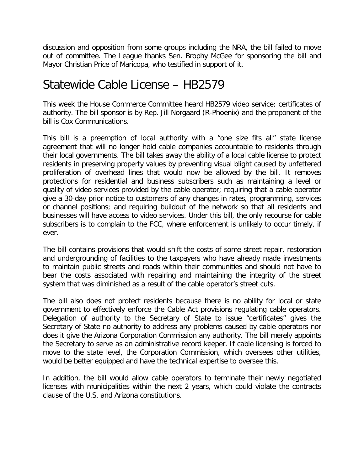discussion and opposition from some groups including the NRA, the bill failed to move out of committee. The League thanks Sen. Brophy McGee for sponsoring the bill and Mayor Christian Price of Maricopa, who testified in support of it.

#### Statewide Cable License – HB2579

This week the House Commerce Committee heard HB2579 video service; certificates of authority. The bill sponsor is by Rep. Jill Norgaard (R-Phoenix) and the proponent of the bill is Cox Communications.

This bill is a preemption of local authority with a "one size fits all" state license agreement that will no longer hold cable companies accountable to residents through their local governments. The bill takes away the ability of a local cable license to protect residents in preserving property values by preventing visual blight caused by unfettered proliferation of overhead lines that would now be allowed by the bill. It removes protections for residential and business subscribers such as maintaining a level or quality of video services provided by the cable operator; requiring that a cable operator give a 30-day prior notice to customers of any changes in rates, programming, services or channel positions; and requiring buildout of the network so that all residents and businesses will have access to video services. Under this bill, the only recourse for cable subscribers is to complain to the FCC, where enforcement is unlikely to occur timely, if ever.

The bill contains provisions that would shift the costs of some street repair, restoration and undergrounding of facilities to the taxpayers who have already made investments to maintain public streets and roads within their communities and should not have to bear the costs associated with repairing and maintaining the integrity of the street system that was diminished as a result of the cable operator's street cuts.

The bill also does not protect residents because there is no ability for local or state government to effectively enforce the Cable Act provisions regulating cable operators. Delegation of authority to the Secretary of State to issue "certificates" gives the Secretary of State no authority to address any problems caused by cable operators nor does it give the Arizona Corporation Commission any authority. The bill merely appoints the Secretary to serve as an administrative record keeper. If cable licensing is forced to move to the state level, the Corporation Commission, which oversees other utilities, would be better equipped and have the technical expertise to oversee this.

In addition, the bill would allow cable operators to terminate their newly negotiated licenses with municipalities within the next 2 years, which could violate the contracts clause of the U.S. and Arizona constitutions.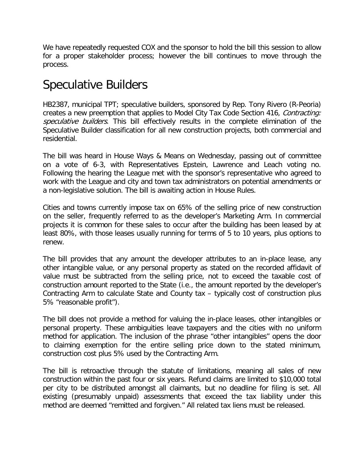We have repeatedly requested COX and the sponsor to hold the bill this session to allow for a proper stakeholder process; however the bill continues to move through the process.

## Speculative Builders

HB2387, municipal TPT; speculative builders, sponsored by Rep. Tony Rivero (R-Peoria) creates a new preemption that applies to Model City Tax Code Section 416, Contracting: speculative builders. This bill effectively results in the complete elimination of the Speculative Builder classification for all new construction projects, both commercial and residential.

The bill was heard in House Ways & Means on Wednesday, passing out of committee on a vote of 6-3, with Representatives Epstein, Lawrence and Leach voting no. Following the hearing the League met with the sponsor's representative who agreed to work with the League and city and town tax administrators on potential amendments or a non-legislative solution. The bill is awaiting action in House Rules.

Cities and towns currently impose tax on 65% of the selling price of new construction on the seller, frequently referred to as the developer's Marketing Arm. In commercial projects it is common for these sales to occur after the building has been leased by at least 80%, with those leases usually running for terms of 5 to 10 years, plus options to renew.

The bill provides that any amount the developer attributes to an in-place lease, any other intangible value, or any personal property as stated on the recorded affidavit of value must be subtracted from the selling price, not to exceed the taxable cost of construction amount reported to the State (i.e., the amount reported by the developer's Contracting Arm to calculate State and County tax – typically cost of construction plus 5% "reasonable profit").

The bill does not provide a method for valuing the in-place leases, other intangibles or personal property. These ambiguities leave taxpayers and the cities with no uniform method for application. The inclusion of the phrase "other intangibles" opens the door to claiming exemption for the entire selling price down to the stated minimum, construction cost plus 5% used by the Contracting Arm.

The bill is retroactive through the statute of limitations, meaning all sales of new construction within the past four or six years. Refund claims are limited to \$10,000 total per city to be distributed amongst all claimants, but no deadline for filing is set. All existing (presumably unpaid) assessments that exceed the tax liability under this method are deemed "remitted and forgiven." All related tax liens must be released.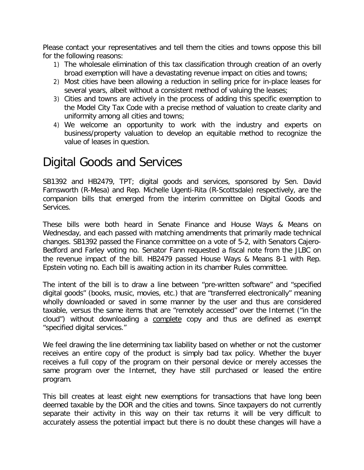Please contact your representatives and tell them the cities and towns oppose this bill for the following reasons:

- 1) The wholesale elimination of this tax classification through creation of an overly broad exemption will have a devastating revenue impact on cities and towns;
- 2) Most cities have been allowing a reduction in selling price for in-place leases for several years, albeit without a consistent method of valuing the leases;
- 3) Cities and towns are actively in the process of adding this specific exemption to the Model City Tax Code with a precise method of valuation to create clarity and uniformity among all cities and towns;
- 4) We welcome an opportunity to work with the industry and experts on business/property valuation to develop an equitable method to recognize the value of leases in question.

### Digital Goods and Services

SB1392 and HB2479, TPT; digital goods and services, sponsored by Sen. David Farnsworth (R-Mesa) and Rep. Michelle Ugenti-Rita (R-Scottsdale) respectively, are the companion bills that emerged from the interim committee on Digital Goods and Services.

These bills were both heard in Senate Finance and House Ways & Means on Wednesday, and each passed with matching amendments that primarily made technical changes. SB1392 passed the Finance committee on a vote of 5-2, with Senators Cajero-Bedford and Farley voting no. Senator Fann requested a fiscal note from the JLBC on the revenue impact of the bill. HB2479 passed House Ways & Means 8-1 with Rep. Epstein voting no. Each bill is awaiting action in its chamber Rules committee.

The intent of the bill is to draw a line between "pre-written software" and "specified digital goods" (books, music, movies, etc.) that are "transferred electronically" meaning wholly downloaded or saved in some manner by the user and thus are considered taxable, versus the same items that are "remotely accessed" over the Internet ("in the cloud") without downloading a complete copy and thus are defined as exempt "specified digital services."

We feel drawing the line determining tax liability based on whether or not the customer receives an entire copy of the product is simply bad tax policy. Whether the buyer receives a full copy of the program on their personal device or merely accesses the same program over the Internet, they have still purchased or leased the entire program.

This bill creates at least eight new exemptions for transactions that have long been deemed taxable by the DOR and the cities and towns. Since taxpayers do not currently separate their activity in this way on their tax returns it will be very difficult to accurately assess the potential impact but there is no doubt these changes will have a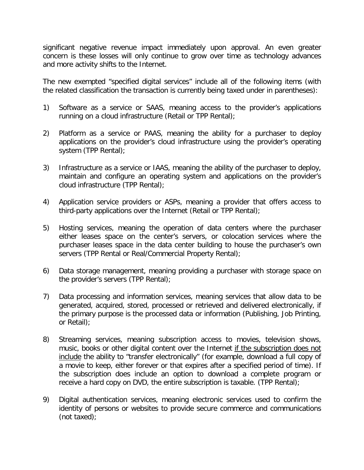significant negative revenue impact immediately upon approval. An even greater concern is these losses will only continue to grow over time as technology advances and more activity shifts to the Internet.

The new exempted "specified digital services" include all of the following items (with the related classification the transaction is currently being taxed under in parentheses):

- 1) Software as a service or SAAS, meaning access to the provider's applications running on a cloud infrastructure (Retail or TPP Rental);
- 2) Platform as a service or PAAS, meaning the ability for a purchaser to deploy applications on the provider's cloud infrastructure using the provider's operating system (TPP Rental);
- 3) Infrastructure as a service or IAAS, meaning the ability of the purchaser to deploy, maintain and configure an operating system and applications on the provider's cloud infrastructure (TPP Rental);
- 4) Application service providers or ASPs, meaning a provider that offers access to third-party applications over the Internet (Retail or TPP Rental);
- 5) Hosting services, meaning the operation of data centers where the purchaser either leases space on the center's servers, or colocation services where the purchaser leases space in the data center building to house the purchaser's own servers (TPP Rental or Real/Commercial Property Rental);
- 6) Data storage management, meaning providing a purchaser with storage space on the provider's servers (TPP Rental);
- 7) Data processing and information services, meaning services that allow data to be generated, acquired, stored, processed or retrieved and delivered electronically, if the primary purpose is the processed data or information (Publishing, Job Printing, or Retail);
- 8) Streaming services, meaning subscription access to movies, television shows, music, books or other digital content over the Internet if the subscription does not include the ability to "transfer electronically" (for example, download a full copy of a movie to keep, either forever or that expires after a specified period of time). If the subscription does include an option to download a complete program or receive a hard copy on DVD, the entire subscription is taxable. (TPP Rental);
- 9) Digital authentication services, meaning electronic services used to confirm the identity of persons or websites to provide secure commerce and communications (not taxed);